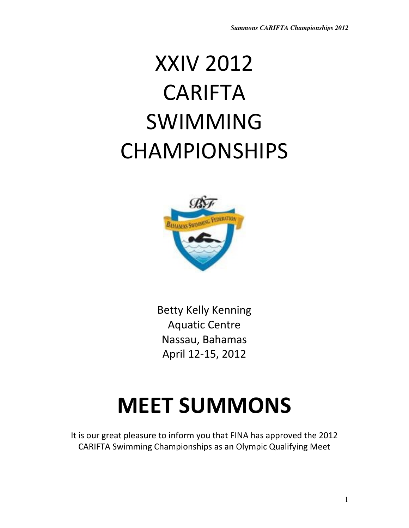# XXIV 2012 CARIFTA SWIMMING CHAMPIONSHIPS



Betty Kelly Kenning Aquatic Centre Nassau, Bahamas April 12-15, 2012

# MEET SUMMONS

It is our great pleasure to inform you that FINA has approved the 2012 CARIFTA Swimming Championships as an Olympic Qualifying Meet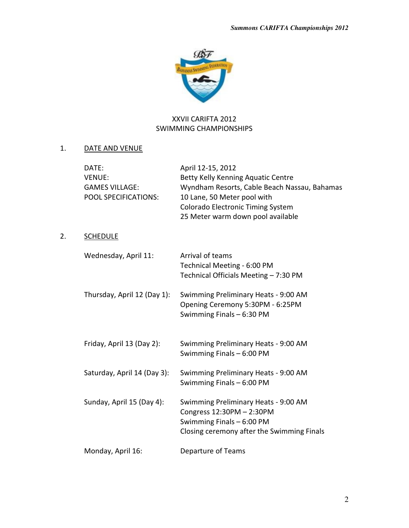

# XXVII CARIFTA 2012 SWIMMING CHAMPIONSHIPS

# 1. DATE AND VENUE

 $2.$ 

| DATE:<br><b>VENUE:</b><br><b>GAMES VILLAGE:</b><br>POOL SPECIFICATIONS: | April 12-15, 2012<br>Betty Kelly Kenning Aquatic Centre<br>Wyndham Resorts, Cable Beach Nassau, Bahamas<br>10 Lane, 50 Meter pool with<br>Colorado Electronic Timing System<br>25 Meter warm down pool available |
|-------------------------------------------------------------------------|------------------------------------------------------------------------------------------------------------------------------------------------------------------------------------------------------------------|
| <b>SCHEDULE</b>                                                         |                                                                                                                                                                                                                  |
| Wednesday, April 11:                                                    | Arrival of teams<br>Technical Meeting - 6:00 PM<br>Technical Officials Meeting - 7:30 PM                                                                                                                         |
| Thursday, April 12 (Day 1):                                             | Swimming Preliminary Heats - 9:00 AM<br>Opening Ceremony 5:30PM - 6:25PM<br>Swimming Finals - 6:30 PM                                                                                                            |
| Friday, April 13 (Day 2):                                               | Swimming Preliminary Heats - 9:00 AM<br>Swimming Finals - 6:00 PM                                                                                                                                                |
| Saturday, April 14 (Day 3):                                             | Swimming Preliminary Heats - 9:00 AM<br>Swimming Finals - 6:00 PM                                                                                                                                                |
| Sunday, April 15 (Day 4):                                               | Swimming Preliminary Heats - 9:00 AM<br>Congress 12:30PM - 2:30PM<br>Swimming Finals - 6:00 PM<br>Closing ceremony after the Swimming Finals                                                                     |
| Monday, April 16:                                                       | <b>Departure of Teams</b>                                                                                                                                                                                        |
|                                                                         |                                                                                                                                                                                                                  |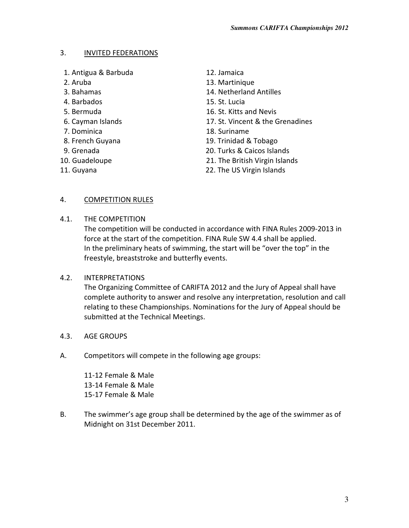#### 3. INVITED FEDERATIONS

- 1. Antigua & Barbuda 12. Jamaica
- 
- 
- 
- 
- 
- 
- 
- 
- 
- 
- 
- 2. Aruba 13. Martinique
- 3. Bahamas 14. Netherland Antilles
- 4. Barbados 15. St. Lucia
- 5. Bermuda 16. St. Kitts and Nevis
- 6. Cayman Islands 17. St. Vincent & the Grenadines
- 7. Dominica 18. Suriname
- 8. French Guyana 19. Trinidad & Tobago
- 9. Grenada 20. Turks & Caicos Islands
- 10. Guadeloupe 21. The British Virgin Islands
- 11. Guyana 22. The US Virgin Islands

#### 4. **COMPETITION RULES**

4.1. THE COMPETITION

The competition will be conducted in accordance with FINA Rules 2009-2013 in force at the start of the competition. FINA Rule SW 4.4 shall be applied. In the preliminary heats of swimming, the start will be "over the top" in the freestyle, breaststroke and butterfly events.

#### 4.2. INTERPRETATIONS

The Organizing Committee of CARIFTA 2012 and the Jury of Appeal shall have complete authority to answer and resolve any interpretation, resolution and call relating to these Championships. Nominations for the Jury of Appeal should be submitted at the Technical Meetings.

- 4.3. AGE GROUPS
- A. Competitors will compete in the following age groups:

11-12 Female & Male 13-14 Female & Male 15-17 Female & Male

B. The swimmer's age group shall be determined by the age of the swimmer as of Midnight on 31st December 2011.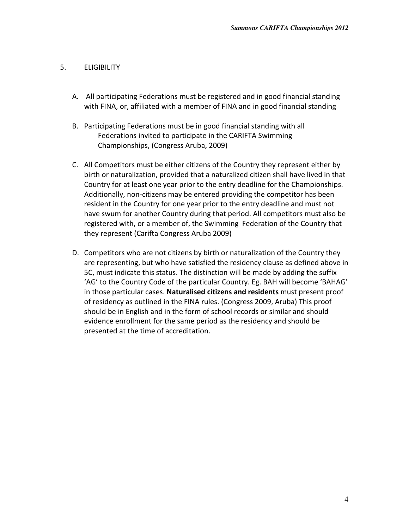#### 5. ELIGIBILITY

- A. All participating Federations must be registered and in good financial standing with FINA, or, affiliated with a member of FINA and in good financial standing
- B. Participating Federations must be in good financial standing with all Federations invited to participate in the CARIFTA Swimming Championships, (Congress Aruba, 2009)
- C. All Competitors must be either citizens of the Country they represent either by birth or naturalization, provided that a naturalized citizen shall have lived in that Country for at least one year prior to the entry deadline for the Championships. Additionally, non-citizens may be entered providing the competitor has been resident in the Country for one year prior to the entry deadline and must not have swum for another Country during that period. All competitors must also be registered with, or a member of, the Swimming Federation of the Country that they represent (Carifta Congress Aruba 2009)
- D. Competitors who are not citizens by birth or naturalization of the Country they are representing, but who have satisfied the residency clause as defined above in 5C, must indicate this status. The distinction will be made by adding the suffix 'AG' to the Country Code of the particular Country. Eg. BAH will become 'BAHAG' in those particular cases. Naturalised citizens and residents must present proof of residency as outlined in the FINA rules. (Congress 2009, Aruba) This proof should be in English and in the form of school records or similar and should evidence enrollment for the same period as the residency and should be presented at the time of accreditation.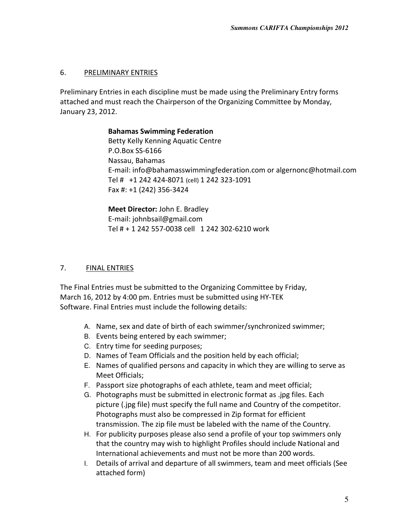#### 6. PRELIMINARY ENTRIES

Preliminary Entries in each discipline must be made using the Preliminary Entry forms attached and must reach the Chairperson of the Organizing Committee by Monday, January 23, 2012.

# Bahamas Swimming Federation Betty Kelly Kenning Aquatic Centre P.O.Box SS-6166 Nassau, Bahamas E-mail: info@bahamasswimmingfederation.com or algernonc@hotmail.com Tel # +1 242 424-8071 (cell) 1 242 323-1091

Fax #: +1 (242) 356-3424

Meet Director: John E. Bradley E-mail: johnbsail@gmail.com Tel # + 1 242 557-0038 cell 1 242 302-6210 work

#### 7. FINAL ENTRIES

The Final Entries must be submitted to the Organizing Committee by Friday, March 16, 2012 by 4:00 pm. Entries must be submitted using HY-TEK Software. Final Entries must include the following details:

- A. Name, sex and date of birth of each swimmer/synchronized swimmer;
- B. Events being entered by each swimmer;
- C. Entry time for seeding purposes;
- D. Names of Team Officials and the position held by each official;
- E. Names of qualified persons and capacity in which they are willing to serve as Meet Officials;
- F. Passport size photographs of each athlete, team and meet official;
- G. Photographs must be submitted in electronic format as .jpg files. Each picture (.jpg file) must specify the full name and Country of the competitor. Photographs must also be compressed in Zip format for efficient transmission. The zip file must be labeled with the name of the Country.
- H. For publicity purposes please also send a profile of your top swimmers only that the country may wish to highlight Profiles should include National and International achievements and must not be more than 200 words.
- I. Details of arrival and departure of all swimmers, team and meet officials (See attached form)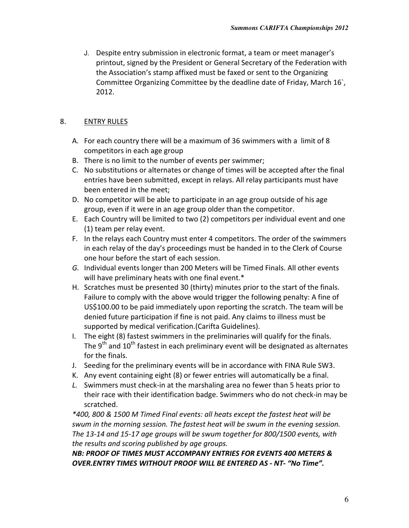J. Despite entry submission in electronic format, a team or meet manager's printout, signed by the President or General Secretary of the Federation with the Association's stamp affixed must be faxed or sent to the Organizing Committee Organizing Committee by the deadline date of Friday, March 16`, 2012.

#### 8. **ENTRY RULES**

- A. For each country there will be a maximum of 36 swimmers with a limit of 8 competitors in each age group
- B. There is no limit to the number of events per swimmer;
- C. No substitutions or alternates or change of times will be accepted after the final entries have been submitted, except in relays. All relay participants must have been entered in the meet;
- D. No competitor will be able to participate in an age group outside of his age group, even if it were in an age group older than the competitor.
- E. Each Country will be limited to two (2) competitors per individual event and one (1) team per relay event.
- F. In the relays each Country must enter 4 competitors. The order of the swimmers in each relay of the day's proceedings must be handed in to the Clerk of Course one hour before the start of each session.
- G. Individual events longer than 200 Meters will be Timed Finals. All other events will have preliminary heats with one final event.\*
- H. Scratches must be presented 30 (thirty) minutes prior to the start of the finals. Failure to comply with the above would trigger the following penalty: A fine of US\$100.00 to be paid immediately upon reporting the scratch. The team will be denied future participation if fine is not paid. Any claims to illness must be supported by medical verification.(Carifta Guidelines).
- I. The eight (8) fastest swimmers in the preliminaries will qualify for the finals. The  $9<sup>th</sup>$  and  $10<sup>th</sup>$  fastest in each preliminary event will be designated as alternates for the finals.
- J. Seeding for the preliminary events will be in accordance with FINA Rule SW3.
- K. Any event containing eight (8) or fewer entries will automatically be a final.
- L. Swimmers must check-in at the marshaling area no fewer than 5 heats prior to their race with their identification badge. Swimmers who do not check-in may be scratched.

\*400, 800 & 1500 M Timed Final events: all heats except the fastest heat will be swum in the morning session. The fastest heat will be swum in the evening session. The 13-14 and 15-17 age groups will be swum together for 800/1500 events, with the results and scoring published by age groups.

NB: PROOF OF TIMES MUST ACCOMPANY ENTRIES FOR EVENTS 400 METERS & OVER.ENTRY TIMES WITHOUT PROOF WILL BE ENTERED AS - NT- "No Time".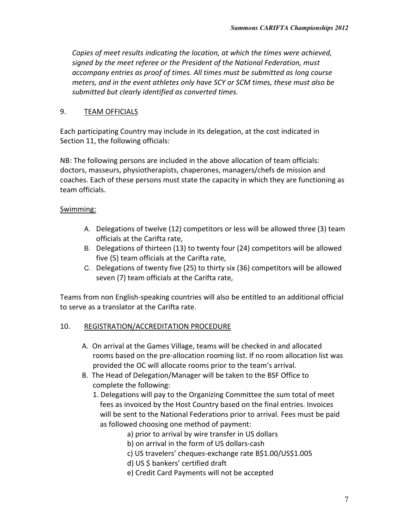Copies of meet results indicating the location, at which the times were achieved, signed by the meet referee or the President of the National Federation, must accompany entries as proof of times. All times must be submitted as long course meters, and in the event athletes only have SCY or SCM times, these must also be submitted but clearly identified as converted times.

#### 9. TEAM OFFICIALS

Each participating Country may include in its delegation, at the cost indicated in Section 11, the following officials:

NB: The following persons are included in the above allocation of team officials: doctors, masseurs, physiotherapists, chaperones, managers/chefs de mission and coaches. Each of these persons must state the capacity in which they are functioning as team officials.

#### Swimming:

- A. Delegations of twelve (12) competitors or less will be allowed three (3) team officials at the Carifta rate,
- B. Delegations of thirteen (13) to twenty four (24) competitors will be allowed five (5) team officials at the Carifta rate,
- C. Delegations of twenty five (25) to thirty six (36) competitors will be allowed seven (7) team officials at the Carifta rate,

Teams from non English-speaking countries will also be entitled to an additional official to serve as a translator at the Carifta rate.

#### 10. REGISTRATION/ACCREDITATION PROCEDURE

- A. On arrival at the Games Village, teams will be checked in and allocated rooms based on the pre-allocation rooming list. If no room allocation list was provided the OC will allocate rooms prior to the team's arrival.
- B. The Head of Delegation/Manager will be taken to the BSF Office to complete the following:
	- 1. Delegations will pay to the Organizing Committee the sum total of meet fees as invoiced by the Host Country based on the final entries. Invoices will be sent to the National Federations prior to arrival. Fees must be paid as followed choosing one method of payment:
		- a) prior to arrival by wire transfer in US dollars
		- b) on arrival in the form of US dollars-cash
		- c) US travelers' cheques-exchange rate B\$1.00/US\$1.005
		- d) US \$ bankers' certified draft
		- e) Credit Card Payments will not be accepted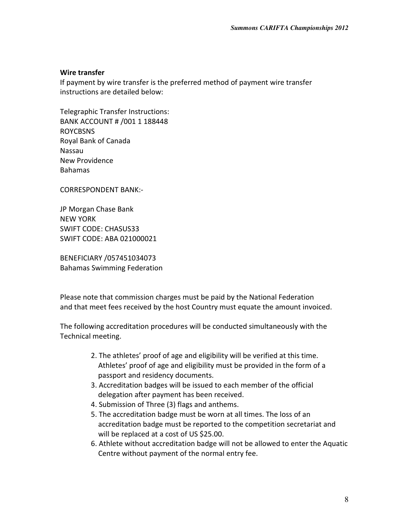#### Wire transfer

If payment by wire transfer is the preferred method of payment wire transfer instructions are detailed below:

Telegraphic Transfer Instructions: BANK ACCOUNT # /001 1 188448 ROYCBSNS Royal Bank of Canada Nassau New Providence Bahamas

CORRESPONDENT BANK:-

JP Morgan Chase Bank NEW YORK SWIFT CODE: CHASUS33 SWIFT CODE: ABA 021000021

BENEFICIARY /057451034073 Bahamas Swimming Federation

Please note that commission charges must be paid by the National Federation and that meet fees received by the host Country must equate the amount invoiced.

The following accreditation procedures will be conducted simultaneously with the Technical meeting.

- 2. The athletes' proof of age and eligibility will be verified at this time. Athletes' proof of age and eligibility must be provided in the form of a passport and residency documents.
- 3. Accreditation badges will be issued to each member of the official delegation after payment has been received.
- 4. Submission of Three (3) flags and anthems.
- 5. The accreditation badge must be worn at all times. The loss of an accreditation badge must be reported to the competition secretariat and will be replaced at a cost of US \$25.00.
- 6. Athlete without accreditation badge will not be allowed to enter the Aquatic Centre without payment of the normal entry fee.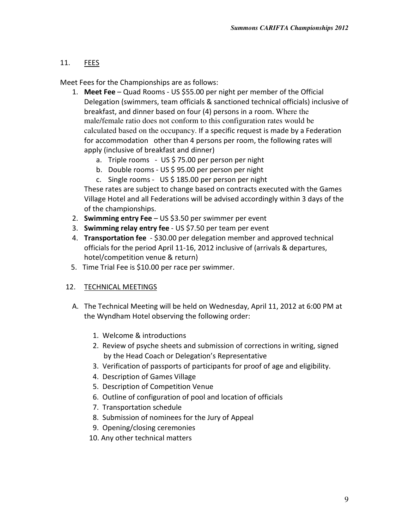# 11. FEES

Meet Fees for the Championships are as follows:

- 1. Meet Fee Quad Rooms US \$55.00 per night per member of the Official Delegation (swimmers, team officials & sanctioned technical officials) inclusive of breakfast, and dinner based on four (4) persons in a room. Where the male/female ratio does not conform to this configuration rates would be calculated based on the occupancy. If a specific request is made by a Federation for accommodation other than 4 persons per room, the following rates will apply (inclusive of breakfast and dinner)
	- a. Triple rooms US \$ 75.00 per person per night
	- b. Double rooms US \$ 95.00 per person per night
	- c. Single rooms US \$ 185.00 per person per night

These rates are subject to change based on contracts executed with the Games Village Hotel and all Federations will be advised accordingly within 3 days of the of the championships.

- 2. Swimming entry Fee  $-$  US \$3.50 per swimmer per event
- 3. Swimming relay entry fee US \$7.50 per team per event
- 4. Transportation fee \$30.00 per delegation member and approved technical officials for the period April 11-16, 2012 inclusive of (arrivals & departures, hotel/competition venue & return)
- 5. Time Trial Fee is \$10.00 per race per swimmer.

# 12. TECHNICAL MEETINGS

- A. The Technical Meeting will be held on Wednesday, April 11, 2012 at 6:00 PM at the Wyndham Hotel observing the following order:
	- 1. Welcome & introductions
	- 2. Review of psyche sheets and submission of corrections in writing, signed by the Head Coach or Delegation's Representative
	- 3. Verification of passports of participants for proof of age and eligibility.
	- 4. Description of Games Village
	- 5. Description of Competition Venue
	- 6. Outline of configuration of pool and location of officials
	- 7. Transportation schedule
	- 8. Submission of nominees for the Jury of Appeal
	- 9. Opening/closing ceremonies
	- 10. Any other technical matters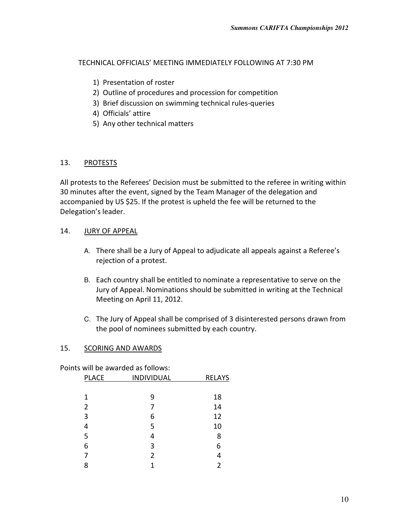TECHNICAL OFFICIALS' MEETING IMMEDIATELY FOLLOWING AT 7:30 PM

- 1) Presentation of roster
- 2) Outline of procedures and procession for competition
- 3) Brief discussion on swimming technical rules-queries
- 4) Officials' attire
- 5) Any other technical matters

#### 13. PROTESTS

All protests to the Referees' Decision must be submitted to the referee in writing within 30 minutes after the event, signed by the Team Manager of the delegation and accompanied by US \$25. If the protest is upheld the fee will be returned to the Delegation's leader.

#### 14. JURY OF APPEAL

- A. There shall be a Jury of Appeal to adjudicate all appeals against a Referee's rejection of a protest.
- B. Each country shall be entitled to nominate a representative to serve on the Jury of Appeal. Nominations should be submitted in writing at the Technical Meeting on April 11, 2012.
- C. The Jury of Appeal shall be comprised of 3 disinterested persons drawn from the pool of nominees submitted by each country.

#### 15. SCORING AND AWARDS

Points will be awarded as follows:

| <b>PLACE</b>   | <b>INDIVIDUAL</b> | <b>RELAYS</b> |  |
|----------------|-------------------|---------------|--|
|                |                   |               |  |
| 1              | 9                 | 18            |  |
| $\overline{2}$ | 7                 | 14            |  |
| 3              | 6                 | 12            |  |
| 4              | 5                 | 10            |  |
| 5              | 4                 | 8             |  |
| 6              | 3                 | 6             |  |
| 7              | $\overline{2}$    | 4             |  |
| 8              | 1                 | 2             |  |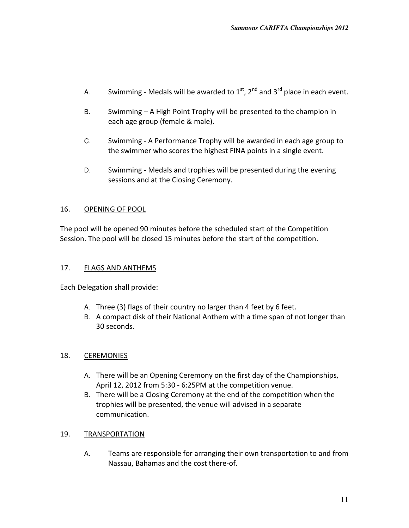- A. Swimming Medals will be awarded to  $1<sup>st</sup>$ ,  $2<sup>nd</sup>$  and  $3<sup>rd</sup>$  place in each event.
- B. Swimming A High Point Trophy will be presented to the champion in each age group (female & male).
- C. Swimming A Performance Trophy will be awarded in each age group to the swimmer who scores the highest FINA points in a single event.
- D. Swimming Medals and trophies will be presented during the evening sessions and at the Closing Ceremony.

#### 16. OPENING OF POOL

The pool will be opened 90 minutes before the scheduled start of the Competition Session. The pool will be closed 15 minutes before the start of the competition.

#### 17. FLAGS AND ANTHEMS

Each Delegation shall provide:

- A. Three (3) flags of their country no larger than 4 feet by 6 feet.
- B. A compact disk of their National Anthem with a time span of not longer than 30 seconds.

#### 18. CEREMONIES

- A. There will be an Opening Ceremony on the first day of the Championships, April 12, 2012 from 5:30 - 6:25PM at the competition venue.
- B. There will be a Closing Ceremony at the end of the competition when the trophies will be presented, the venue will advised in a separate communication.

#### 19. TRANSPORTATION

A. Teams are responsible for arranging their own transportation to and from Nassau, Bahamas and the cost there-of.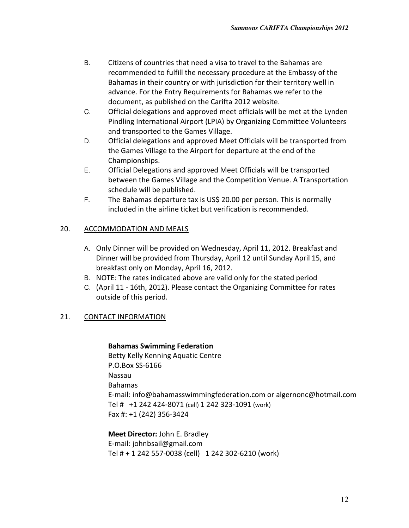- B. Citizens of countries that need a visa to travel to the Bahamas are recommended to fulfill the necessary procedure at the Embassy of the Bahamas in their country or with jurisdiction for their territory well in advance. For the Entry Requirements for Bahamas we refer to the document, as published on the Carifta 2012 website.
- C. Official delegations and approved meet officials will be met at the Lynden Pindling International Airport (LPIA) by Organizing Committee Volunteers and transported to the Games Village.
- D. Official delegations and approved Meet Officials will be transported from the Games Village to the Airport for departure at the end of the Championships.
- E. Official Delegations and approved Meet Officials will be transported between the Games Village and the Competition Venue. A Transportation schedule will be published.
- F. The Bahamas departure tax is US\$ 20.00 per person. This is normally included in the airline ticket but verification is recommended.

# 20. ACCOMMODATION AND MEALS

- A. Only Dinner will be provided on Wednesday, April 11, 2012. Breakfast and Dinner will be provided from Thursday, April 12 until Sunday April 15, and breakfast only on Monday, April 16, 2012.
- B. NOTE: The rates indicated above are valid only for the stated period
- C. (April 11 16th, 2012). Please contact the Organizing Committee for rates outside of this period.

# 21. CONTACT INFORMATION

#### Bahamas Swimming Federation

Betty Kelly Kenning Aquatic Centre P.O.Box SS-6166 Nassau Bahamas E-mail: info@bahamasswimmingfederation.com or algernonc@hotmail.com Tel # +1 242 424-8071 (cell) 1 242 323-1091 (work) Fax #: +1 (242) 356-3424

Meet Director: John E. Bradley E-mail: johnbsail@gmail.com Tel # + 1 242 557-0038 (cell) 1 242 302-6210 (work)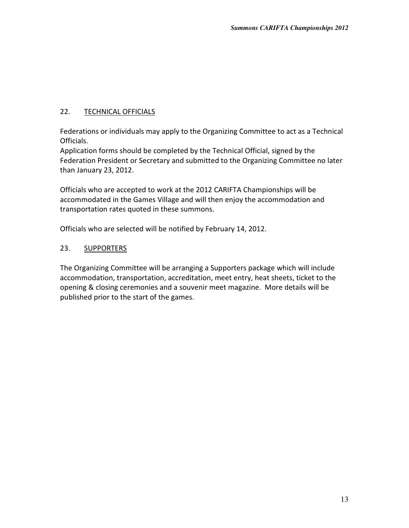#### 22. TECHNICAL OFFICIALS

Federations or individuals may apply to the Organizing Committee to act as a Technical Officials.

Application forms should be completed by the Technical Official, signed by the Federation President or Secretary and submitted to the Organizing Committee no later than January 23, 2012.

Officials who are accepted to work at the 2012 CARIFTA Championships will be accommodated in the Games Village and will then enjoy the accommodation and transportation rates quoted in these summons.

Officials who are selected will be notified by February 14, 2012.

#### 23. SUPPORTERS

The Organizing Committee will be arranging a Supporters package which will include accommodation, transportation, accreditation, meet entry, heat sheets, ticket to the opening & closing ceremonies and a souvenir meet magazine. More details will be published prior to the start of the games.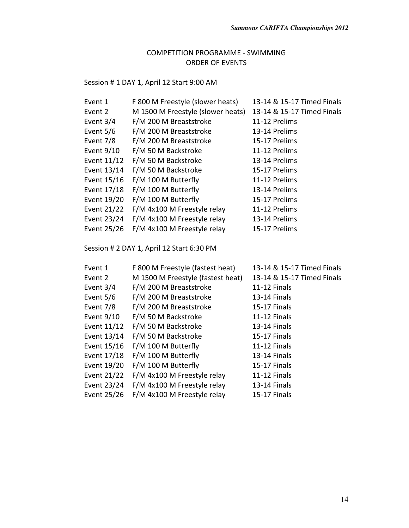# Session # 1 DAY 1, April 12 Start 9:00 AM

| Event 1                                      | F 800 M Freestyle (slower heats)          | 13-14 & 15-17 Timed Finals |
|----------------------------------------------|-------------------------------------------|----------------------------|
| Event 2<br>M 1500 M Freestyle (slower heats) |                                           | 13-14 & 15-17 Timed Finals |
| Event 3/4<br>F/M 200 M Breaststroke          |                                           | 11-12 Prelims              |
| Event 5/6                                    | F/M 200 M Breaststroke                    | 13-14 Prelims              |
| Event 7/8                                    | F/M 200 M Breaststroke                    | 15-17 Prelims              |
| Event 9/10                                   | F/M 50 M Backstroke                       | 11-12 Prelims              |
| Event 11/12                                  | F/M 50 M Backstroke                       | 13-14 Prelims              |
| Event 13/14                                  | F/M 50 M Backstroke                       | 15-17 Prelims              |
| Event 15/16                                  | F/M 100 M Butterfly                       | 11-12 Prelims              |
| Event 17/18                                  | F/M 100 M Butterfly                       | 13-14 Prelims              |
| Event 19/20                                  | F/M 100 M Butterfly                       | 15-17 Prelims              |
| Event 21/22                                  | F/M 4x100 M Freestyle relay               | 11-12 Prelims              |
| Event 23/24                                  | F/M 4x100 M Freestyle relay               | 13-14 Prelims              |
| Event 25/26                                  | F/M 4x100 M Freestyle relay               | 15-17 Prelims              |
|                                              | Session # 2 DAY 1, April 12 Start 6:30 PM |                            |
| Event 1                                      | F 800 M Freestyle (fastest heat)          | 13-14 & 15-17 Timed Finals |
| Event 2                                      | M 1500 M Freestyle (fastest heat)         | 13-14 & 15-17 Timed Finals |
| Event $3/4$                                  | F/M 200 M Breaststroke                    | 11-12 Finals               |
| Event 5/6                                    | F/M 200 M Breaststroke                    | 13-14 Finals               |
| Event 7/8                                    | F/M 200 M Breaststroke                    | 15-17 Finals               |
| Event 9/10                                   | F/M 50 M Backstroke                       | 11-12 Finals               |
| Event 11/12                                  | F/M 50 M Backstroke                       | 13-14 Finals               |
| Event 13/14                                  | F/M 50 M Backstroke                       | 15-17 Finals               |
| Event 15/16                                  | F/M 100 M Butterfly                       | <b>11-12 Finals</b>        |
| Event 17/18                                  | F/M 100 M Butterfly                       | 13-14 Finals               |
| Event 19/20                                  | F/M 100 M Butterfly                       | 15-17 Finals               |
| Event 21/22                                  | F/M 4x100 M Freestyle relay               | 11-12 Finals               |
| Event 23/24                                  | F/M 4x100 M Freestyle relay               | 13-14 Finals               |
| Event 25/26                                  | F/M 4x100 M Freestyle relay               | 15-17 Finals               |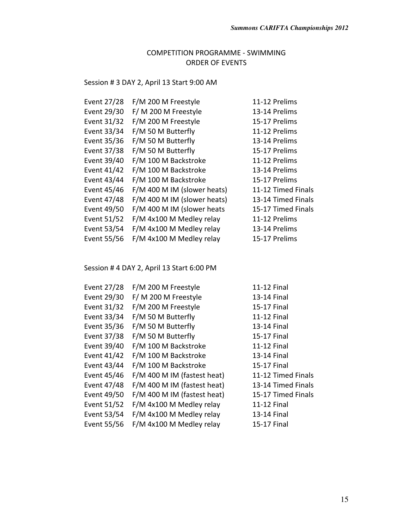# Session # 3 DAY 2, April 13 Start 9:00 AM

| Event 27/28 | F/M 200 M Freestyle         | 11-12 Prelims      |
|-------------|-----------------------------|--------------------|
| Event 29/30 | F/M 200 M Freestyle         | 13-14 Prelims      |
| Event 31/32 | F/M 200 M Freestyle         | 15-17 Prelims      |
| Event 33/34 | F/M 50 M Butterfly          | 11-12 Prelims      |
| Event 35/36 | F/M 50 M Butterfly          | 13-14 Prelims      |
| Event 37/38 | F/M 50 M Butterfly          | 15-17 Prelims      |
| Event 39/40 | F/M 100 M Backstroke        | 11-12 Prelims      |
| Event 41/42 | F/M 100 M Backstroke        | 13-14 Prelims      |
| Event 43/44 | F/M 100 M Backstroke        | 15-17 Prelims      |
| Event 45/46 | F/M 400 M IM (slower heats) | 11-12 Timed Finals |
| Event 47/48 | F/M 400 M IM (slower heats) | 13-14 Timed Finals |
| Event 49/50 | F/M 400 M IM (slower heats  | 15-17 Timed Finals |
| Event 51/52 | F/M 4x100 M Medley relay    | 11-12 Prelims      |
| Event 53/54 | F/M 4x100 M Medley relay    | 13-14 Prelims      |
| Event 55/56 | F/M 4x100 M Medley relay    | 15-17 Prelims      |

Session # 4 DAY 2, April 13 Start 6:00 PM

| Event 27/28 | F/M 200 M Freestyle         | 11-12 Final        |
|-------------|-----------------------------|--------------------|
| Event 29/30 | F/M 200 M Freestyle         | 13-14 Final        |
| Event 31/32 | F/M 200 M Freestyle         | 15-17 Final        |
| Event 33/34 | F/M 50 M Butterfly          | 11-12 Final        |
| Event 35/36 | F/M 50 M Butterfly          | 13-14 Final        |
| Event 37/38 | F/M 50 M Butterfly          | 15-17 Final        |
| Event 39/40 | F/M 100 M Backstroke        | 11-12 Final        |
| Event 41/42 | F/M 100 M Backstroke        | 13-14 Final        |
| Event 43/44 | F/M 100 M Backstroke        | 15-17 Final        |
| Event 45/46 | F/M 400 M IM (fastest heat) | 11-12 Timed Finals |
| Event 47/48 | F/M 400 M IM (fastest heat) | 13-14 Timed Finals |
| Event 49/50 | F/M 400 M IM (fastest heat) | 15-17 Timed Finals |
| Event 51/52 | F/M 4x100 M Medley relay    | 11-12 Final        |
| Event 53/54 | F/M 4x100 M Medley relay    | 13-14 Final        |
| Event 55/56 | F/M 4x100 M Medley relay    | 15-17 Final        |
|             |                             |                    |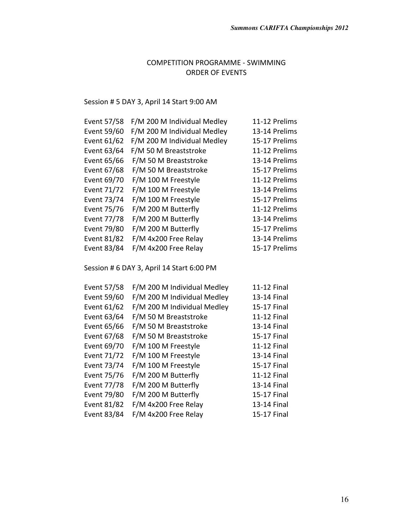## Session # 5 DAY 3, April 14 Start 9:00 AM

| Event 57/58 | F/M 200 M Individual Medley | 11-12 Prelims |
|-------------|-----------------------------|---------------|
| Event 59/60 | F/M 200 M Individual Medley | 13-14 Prelims |
| Event 61/62 | F/M 200 M Individual Medley | 15-17 Prelims |
| Event 63/64 | F/M 50 M Breaststroke       | 11-12 Prelims |
| Event 65/66 | F/M 50 M Breaststroke       | 13-14 Prelims |
| Event 67/68 | F/M 50 M Breaststroke       | 15-17 Prelims |
| Event 69/70 | F/M 100 M Freestyle         | 11-12 Prelims |
| Event 71/72 | F/M 100 M Freestyle         | 13-14 Prelims |
| Event 73/74 | F/M 100 M Freestyle         | 15-17 Prelims |
| Event 75/76 | F/M 200 M Butterfly         | 11-12 Prelims |
| Event 77/78 | F/M 200 M Butterfly         | 13-14 Prelims |
| Event 79/80 | F/M 200 M Butterfly         | 15-17 Prelims |
| Event 81/82 | F/M 4x200 Free Relay        | 13-14 Prelims |
| Event 83/84 | F/M 4x200 Free Relay        | 15-17 Prelims |
|             |                             |               |

Session # 6 DAY 3, April 14 Start 6:00 PM

| Event 57/58 | F/M 200 M Individual Medley | 11-12 Final |
|-------------|-----------------------------|-------------|
| Event 59/60 | F/M 200 M Individual Medley | 13-14 Final |
| Event 61/62 | F/M 200 M Individual Medley | 15-17 Final |
| Event 63/64 | F/M 50 M Breaststroke       | 11-12 Final |
| Event 65/66 | F/M 50 M Breaststroke       | 13-14 Final |
| Event 67/68 | F/M 50 M Breaststroke       | 15-17 Final |
| Event 69/70 | F/M 100 M Freestyle         | 11-12 Final |
| Event 71/72 | F/M 100 M Freestyle         | 13-14 Final |
| Event 73/74 | F/M 100 M Freestyle         | 15-17 Final |
| Event 75/76 | F/M 200 M Butterfly         | 11-12 Final |
| Event 77/78 | F/M 200 M Butterfly         | 13-14 Final |
| Event 79/80 | F/M 200 M Butterfly         | 15-17 Final |
| Event 81/82 | F/M 4x200 Free Relay        | 13-14 Final |
| Event 83/84 | F/M 4x200 Free Relay        | 15-17 Final |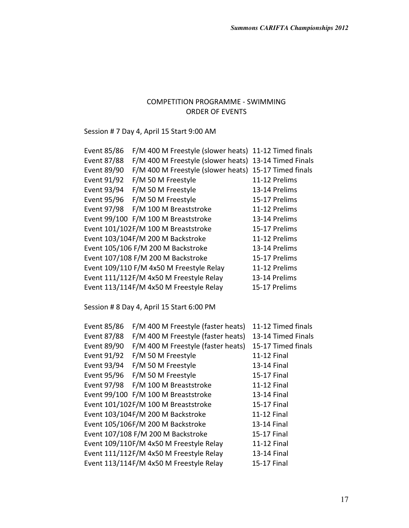Session # 7 Day 4, April 15 Start 9:00 AM

| Event 85/86 | F/M 400 M Freestyle (slower heats)        | 11-12 Timed finals |
|-------------|-------------------------------------------|--------------------|
| Event 87/88 | F/M 400 M Freestyle (slower heats)        | 13-14 Timed Finals |
| Event 89/90 | F/M 400 M Freestyle (slower heats)        | 15-17 Timed finals |
| Event 91/92 | F/M 50 M Freestyle                        | 11-12 Prelims      |
| Event 93/94 | F/M 50 M Freestyle                        | 13-14 Prelims      |
| Event 95/96 | F/M 50 M Freestyle                        | 15-17 Prelims      |
| Event 97/98 | F/M 100 M Breaststroke                    | 11-12 Prelims      |
|             | Event 99/100 F/M 100 M Breaststroke       | 13-14 Prelims      |
|             | Event 101/102F/M 100 M Breaststroke       | 15-17 Prelims      |
|             | Event 103/104F/M 200 M Backstroke         | 11-12 Prelims      |
|             | Event 105/106 F/M 200 M Backstroke        | 13-14 Prelims      |
|             | Event 107/108 F/M 200 M Backstroke        | 15-17 Prelims      |
|             | Event 109/110 F/M 4x50 M Freestyle Relay  | 11-12 Prelims      |
|             | Event 111/112F/M 4x50 M Freestyle Relay   | 13-14 Prelims      |
|             | Event 113/114F/M 4x50 M Freestyle Relay   | 15-17 Prelims      |
|             |                                           |                    |
|             | Session # 8 Day 4, April 15 Start 6:00 PM |                    |
|             |                                           |                    |
| Event 85/86 | F/M 400 M Freestyle (faster heats)        | 11-12 Timed finals |
| Event 87/88 | F/M 400 M Freestyle (faster heats)        | 13-14 Timed Finals |
| Event 89/90 | F/M 400 M Freestyle (faster heats)        | 15-17 Timed finals |
| Event 91/92 | F/M 50 M Freestyle                        | 11-12 Final        |
| Event 93/94 | F/M 50 M Freestyle                        | 13-14 Final        |
| Event 95/96 | F/M 50 M Freestyle                        | 15-17 Final        |
| Event 97/98 | F/M 100 M Breaststroke                    | 11-12 Final        |
|             | Event 99/100 F/M 100 M Breaststroke       | 13-14 Final        |
|             | Event 101/102F/M 100 M Breaststroke       | 15-17 Final        |
|             | Event 103/104F/M 200 M Backstroke         | 11-12 Final        |
|             | Event 105/106F/M 200 M Backstroke         | 13-14 Final        |
|             | Event 107/108 F/M 200 M Backstroke        | 15-17 Final        |
|             | Event 109/110F/M 4x50 M Freestyle Relay   | 11-12 Final        |
|             | Event 111/112F/M 4x50 M Freestyle Relay   | 13-14 Final        |
|             | Event 113/114F/M 4x50 M Freestyle Relay   | 15-17 Final        |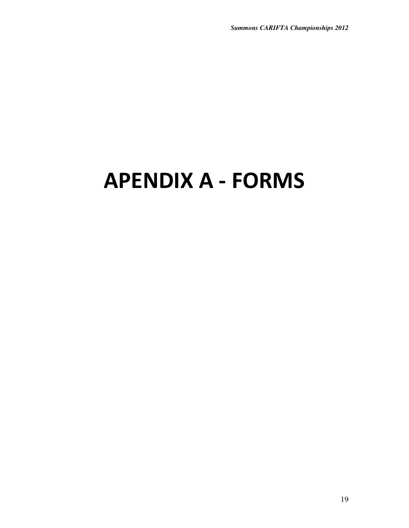# APENDIX A - FORMS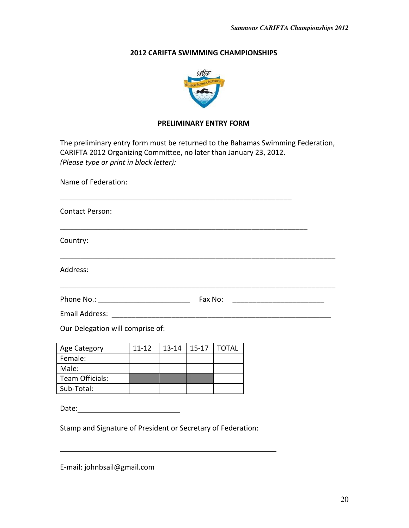#### 2012 CARIFTA SWIMMING CHAMPIONSHIPS



#### PRELIMINARY ENTRY FORM

The preliminary entry form must be returned to the Bahamas Swimming Federation, CARIFTA 2012 Organizing Committee, no later than January 23, 2012. (Please type or print in block letter):

Name of Federation:

| <b>Contact Person:</b>                           |           |           |           |              |  |  |
|--------------------------------------------------|-----------|-----------|-----------|--------------|--|--|
| Country:                                         |           |           |           |              |  |  |
| Address:                                         |           |           |           |              |  |  |
| Fax No:<br><u> 1980 - Jan Barbarat, martin a</u> |           |           |           |              |  |  |
|                                                  |           |           |           |              |  |  |
| Our Delegation will comprise of:                 |           |           |           |              |  |  |
| Age Category                                     | $11 - 12$ | $13 - 14$ | $15 - 17$ | <b>TOTAL</b> |  |  |
| Female:                                          |           |           |           |              |  |  |
| Male:                                            |           |           |           |              |  |  |
| Team Officials:                                  |           |           |           |              |  |  |

Date: when the contract of the contract of the contract of the contract of the contract of the contract of the contract of the contract of the contract of the contract of the contract of the contract of the contract of the

Stamp and Signature of President or Secretary of Federation:

E-mail: johnbsail@gmail.com

Sub-Total:

ı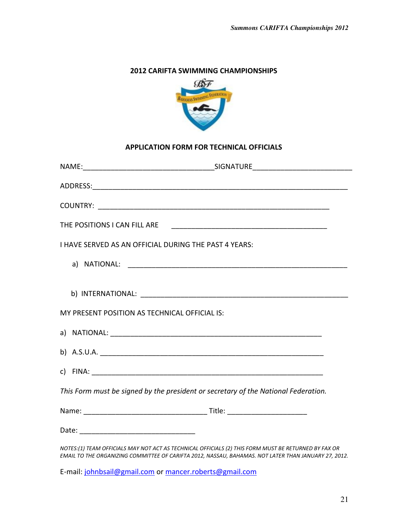## 2012 CARIFTA SWIMMING CHAMPIONSHIPS



#### APPLICATION FORM FOR TECHNICAL OFFICIALS

| I HAVE SERVED AS AN OFFICIAL DURING THE PAST 4 YEARS:                                                                                                                                                        |
|--------------------------------------------------------------------------------------------------------------------------------------------------------------------------------------------------------------|
|                                                                                                                                                                                                              |
|                                                                                                                                                                                                              |
| MY PRESENT POSITION AS TECHNICAL OFFICIAL IS:                                                                                                                                                                |
|                                                                                                                                                                                                              |
|                                                                                                                                                                                                              |
|                                                                                                                                                                                                              |
| This Form must be signed by the president or secretary of the National Federation.                                                                                                                           |
|                                                                                                                                                                                                              |
|                                                                                                                                                                                                              |
| NOTES:(1) TEAM OFFICIALS MAY NOT ACT AS TECHNICAL OFFICIALS (2) THIS FORM MUST BE RETURNED BY FAX OR<br>EMAIL TO THE ORGANIZING COMMITTEE OF CARIFTA 2012, NASSAU, BAHAMAS. NOT LATER THAN JANUARY 27, 2012. |

E-mail: johnbsail@gmail.com or mancer.roberts@gmail.com